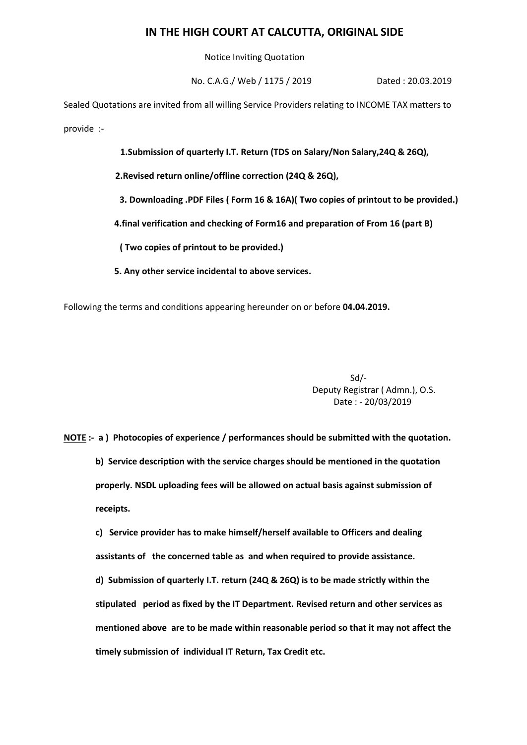## **IN THE HIGH COURT AT CALCUTTA, ORIGINAL SIDE**

Notice Inviting Quotation

No. C.A.G./ Web / 1175 / 2019 Dated : 20.03.2019

Sealed Quotations are invited from all willing Service Providers relating to INCOME TAX matters to provide :-

**1.Submission of quarterly I.T. Return (TDS on Salary/Non Salary,24Q & 26Q),**

 **2.Revised return online/offline correction (24Q & 26Q),**

 **3. Downloading .PDF Files ( Form 16 & 16A)( Two copies of printout to be provided.)**

 **4.final verification and checking of Form16 and preparation of From 16 (part B)** 

 **( Two copies of printout to be provided.)**

 **5. Any other service incidental to above services.**

Following the terms and conditions appearing hereunder on or before **04.04.2019.**

Sd/- Deputy Registrar ( Admn.), O.S. Date : - 20/03/2019

**NOTE :- a ) Photocopies of experience / performances should be submitted with the quotation. b) Service description with the service charges should be mentioned in the quotation properly. NSDL uploading fees will be allowed on actual basis against submission of receipts.**

**c) Service provider has to make himself/herself available to Officers and dealing assistants of the concerned table as and when required to provide assistance. d) Submission of quarterly I.T. return (24Q & 26Q) is to be made strictly within the stipulated period as fixed by the IT Department. Revised return and other services as mentioned above are to be made within reasonable period so that it may not affect the timely submission of individual IT Return, Tax Credit etc.**